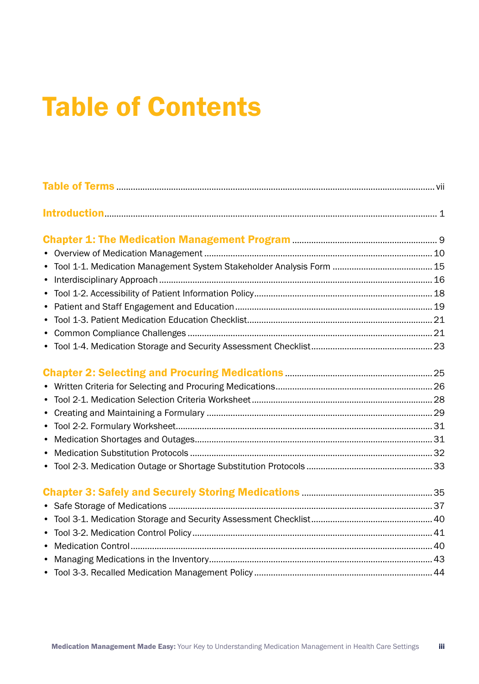## Table of Contents

| $\bullet$ |  |
|-----------|--|
|           |  |
|           |  |
|           |  |
|           |  |
|           |  |
|           |  |
| $\bullet$ |  |
| $\bullet$ |  |
|           |  |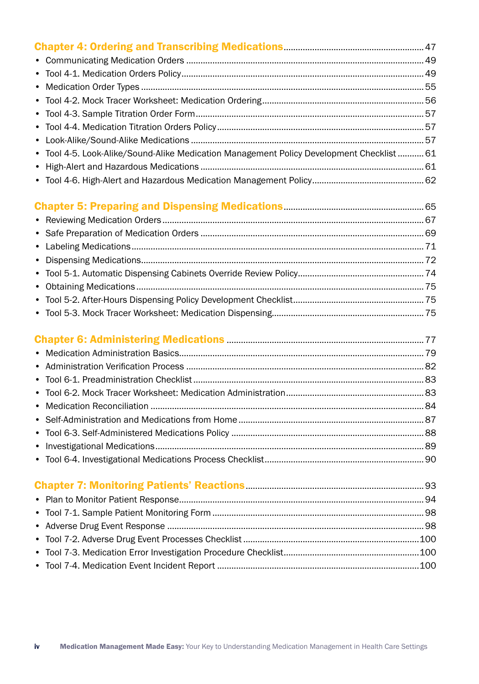| • Tool 4-5. Look-Alike/Sound-Alike Medication Management Policy Development Checklist  61 |  |
|-------------------------------------------------------------------------------------------|--|
|                                                                                           |  |
|                                                                                           |  |

## [Chapter 5: Preparing and Dispensing Medications](#page--1-0)...........................................................65

## [Chapter 6: Administering Medications](#page--1-0) ...................................................................................77 • [Medication Administration Basics.......................................................................................................79](#page--1-0) • Administration Verification Process [....................................................................................................82](#page--1-0) • [Tool 6-1. Preadministration Checklist.................................................................................................83](#page--1-0) • [Tool 6-2. Mock Tracer Worksheet: Medication Administration..........................................................83](#page--1-0) • Medication Reconciliation [...................................................................................................................84](#page--1-0) • Self-Administration and Medications from Home [..............................................................................87](#page--1-0) • Tool 6-3. Self-Administered Medications Policy [.................................................................................88](#page--1-0) • [Investigational Medications.................................................................................................................89](#page--1-0) • [Tool 6-4. Investigational Medications Process Checklist...................................................................90](#page--1-0)